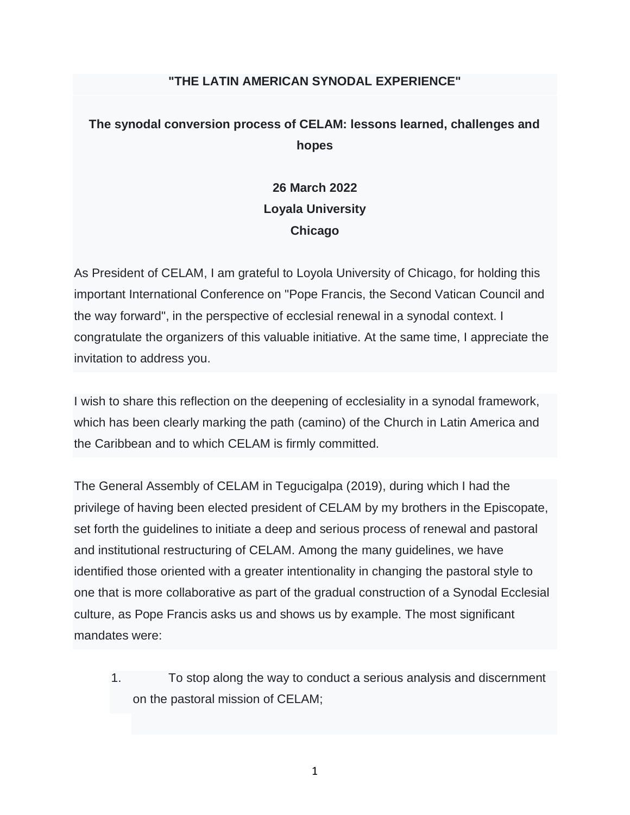#### **"THE LATIN AMERICAN SYNODAL EXPERIENCE"**

## **The synodal conversion process of CELAM: lessons learned, challenges and hopes**

# **26 March 2022 Loyala University Chicago**

As President of CELAM, I am grateful to Loyola University of Chicago, for holding this important International Conference on "Pope Francis, the Second Vatican Council and the way forward", in the perspective of ecclesial renewal in a synodal context. I congratulate the organizers of this valuable initiative. At the same time, I appreciate the invitation to address you.

I wish to share this reflection on the deepening of ecclesiality in a synodal framework, which has been clearly marking the path (camino) of the Church in Latin America and the Caribbean and to which CELAM is firmly committed.

The General Assembly of CELAM in Tegucigalpa (2019), during which I had the privilege of having been elected president of CELAM by my brothers in the Episcopate, set forth the guidelines to initiate a deep and serious process of renewal and pastoral and institutional restructuring of CELAM. Among the many guidelines, we have identified those oriented with a greater intentionality in changing the pastoral style to one that is more collaborative as part of the gradual construction of a Synodal Ecclesial culture, as Pope Francis asks us and shows us by example. The most significant mandates were:

1. To stop along the way to conduct a serious analysis and discernment on the pastoral mission of CELAM;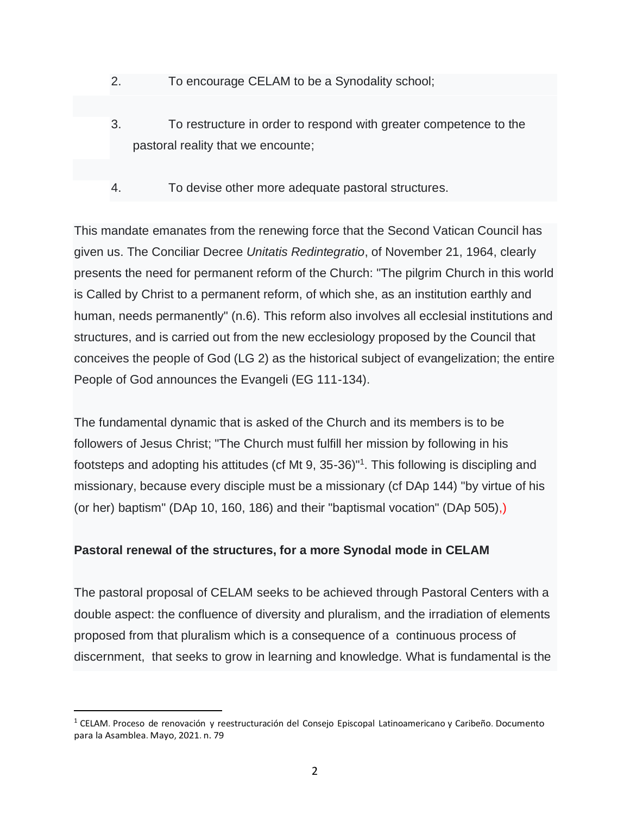- 2. To encourage CELAM to be a Synodality school;
- 3. To restructure in order to respond with greater competence to the pastoral reality that we encounte;
- 4. To devise other more adequate pastoral structures.

This mandate emanates from the renewing force that the Second Vatican Council has given us. The Conciliar Decree *Unitatis Redintegratio*, of November 21, 1964, clearly presents the need for permanent reform of the Church: "The pilgrim Church in this world is Called by Christ to a permanent reform, of which she, as an institution earthly and human, needs permanently" (n.6). This reform also involves all ecclesial institutions and structures, and is carried out from the new ecclesiology proposed by the Council that conceives the people of God (LG 2) as the historical subject of evangelization; the entire People of God announces the Evangeli (EG 111-134).

The fundamental dynamic that is asked of the Church and its members is to be followers of Jesus Christ; "The Church must fulfill her mission by following in his footsteps and adopting his attitudes (cf Mt 9, 35-36)<sup>"1</sup>. This following is discipling and missionary, because every disciple must be a missionary (cf DAp 144) "by virtue of his (or her) baptism" (DAp 10, 160, 186) and their "baptismal vocation" (DAp 505),)

### **Pastoral renewal of the structures, for a more Synodal mode in CELAM**

The pastoral proposal of CELAM seeks to be achieved through Pastoral Centers with a double aspect: the confluence of diversity and pluralism, and the irradiation of elements proposed from that pluralism which is a consequence of a continuous process of discernment, that seeks to grow in learning and knowledge. What is fundamental is the

 $1$  CELAM. Proceso de renovación y reestructuración del Consejo Episcopal Latinoamericano y Caribeño. Documento para la Asamblea. Mayo, 2021. n. 79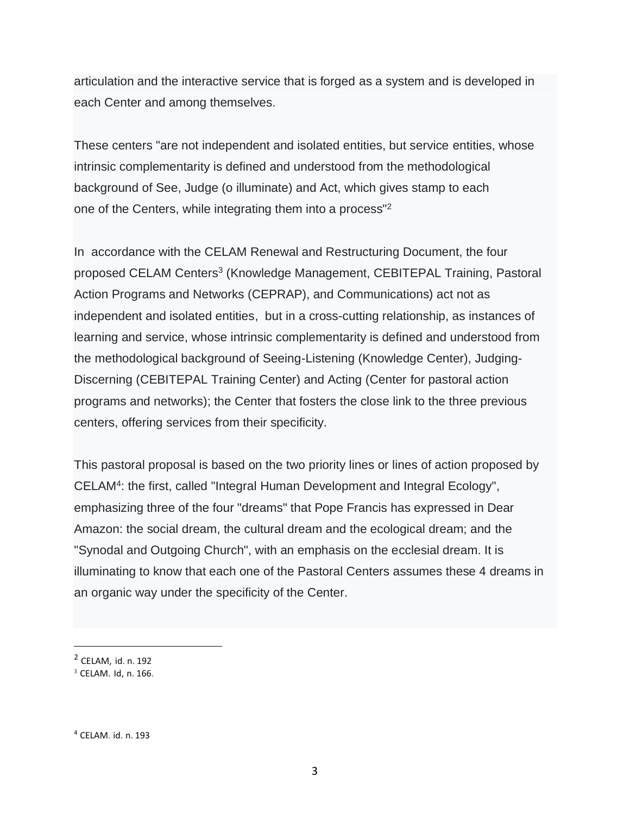articulation and the interactive service that is forged as a system and is developed in each Center and among themselves.

These centers "are not independent and isolated entities, but service entities, whose intrinsic complementarity is defined and understood from the methodological background of See, Judge (o illuminate) and Act, which gives stamp to each one of the Centers, while integrating them into a process"<sup>2</sup>

In accordance with the CELAM Renewal and Restructuring Document, the four proposed CELAM Centers<sup>3</sup> (Knowledge Management, CEBITEPAL Training, Pastoral Action Programs and Networks (CEPRAP), and Communications) act not as independent and isolated entities, but in a cross-cutting relationship, as instances of learning and service, whose intrinsic complementarity is defined and understood from the methodological background of Seeing-Listening (Knowledge Center), Judging-Discerning (CEBITEPAL Training Center) and Acting (Center for pastoral action programs and networks); the Center that fosters the close link to the three previous centers, offering services from their specificity.

This pastoral proposal is based on the two priority lines or lines of action proposed by CELAM<sup>4</sup> : the first, called "Integral Human Development and Integral Ecology", emphasizing three of the four "dreams" that Pope Francis has expressed in Dear Amazon: the social dream, the cultural dream and the ecological dream; and the "Synodal and Outgoing Church", with an emphasis on the ecclesial dream. It is illuminating to know that each one of the Pastoral Centers assumes these 4 dreams in an organic way under the specificity of the Center.

<sup>2</sup> CELAM, id. n. 192

<sup>3</sup> CELAM. Id, n. 166.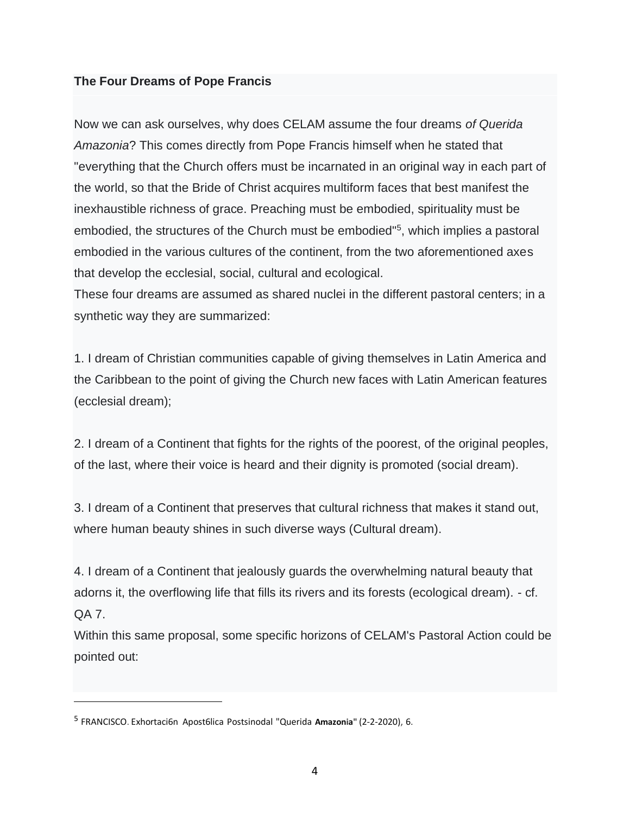#### **The Four Dreams of Pope Francis**

Now we can ask ourselves, why does CELAM assume the four dreams *of Querida Amazonia*? This comes directly from Pope Francis himself when he stated that "everything that the Church offers must be incarnated in an original way in each part of the world, so that the Bride of Christ acquires multiform faces that best manifest the inexhaustible richness of grace. Preaching must be embodied, spirituality must be embodied, the structures of the Church must be embodied<sup>"5</sup>, which implies a pastoral embodied in the various cultures of the continent, from the two aforementioned axes that develop the ecclesial, social, cultural and ecological.

These four dreams are assumed as shared nuclei in the different pastoral centers; in a synthetic way they are summarized:

1. I dream of Christian communities capable of giving themselves in Latin America and the Caribbean to the point of giving the Church new faces with Latin American features (ecclesial dream);

2. I dream of a Continent that fights for the rights of the poorest, of the original peoples, of the last, where their voice is heard and their dignity is promoted (social dream).

3. I dream of a Continent that preserves that cultural richness that makes it stand out, where human beauty shines in such diverse ways (Cultural dream).

4. I dream of a Continent that jealously guards the overwhelming natural beauty that adorns it, the overflowing life that fills its rivers and its forests (ecological dream). - cf. QA 7.

Within this same proposal, some specific horizons of CELAM's Pastoral Action could be pointed out:

<sup>5</sup> FRANCISCO. Exhortaci6n Apost6lica Postsinodal "Querida **Amazonia"** (2-2-2020), 6.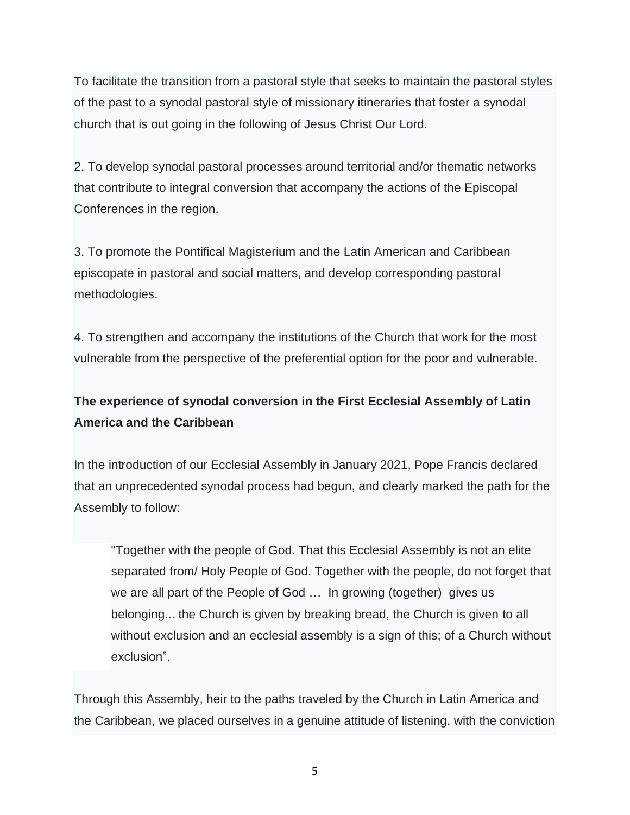To facilitate the transition from a pastoral style that seeks to maintain the pastoral styles of the past to a synodal pastoral style of missionary itineraries that foster a synodal church that is out going in the following of Jesus Christ Our Lord.

2. To develop synodal pastoral processes around territorial and/or thematic networks that contribute to integral conversion that accompany the actions of the Episcopal Conferences in the region.

3. To promote the Pontifical Magisterium and the Latin American and Caribbean episcopate in pastoral and social matters, and develop corresponding pastoral methodologies.

4. To strengthen and accompany the institutions of the Church that work for the most vulnerable from the perspective of the preferential option for the poor and vulnerable.

## **The experience of synodal conversion in the First Ecclesial Assembly of Latin America and the Caribbean**

In the introduction of our Ecclesial Assembly in January 2021, Pope Francis declared that an unprecedented synodal process had begun, and clearly marked the path for the Assembly to follow:

"Together with the people of God. That this Ecclesial Assembly is not an elite separated from/ Holy People of God. Together with the people, do not forget that we are all part of the People of God … In growing (together) gives us belonging... the Church is given by breaking bread, the Church is given to all without exclusion and an ecclesial assembly is a sign of this; of a Church without exclusion".

Through this Assembly, heir to the paths traveled by the Church in Latin America and the Caribbean, we placed ourselves in a genuine attitude of listening, with the conviction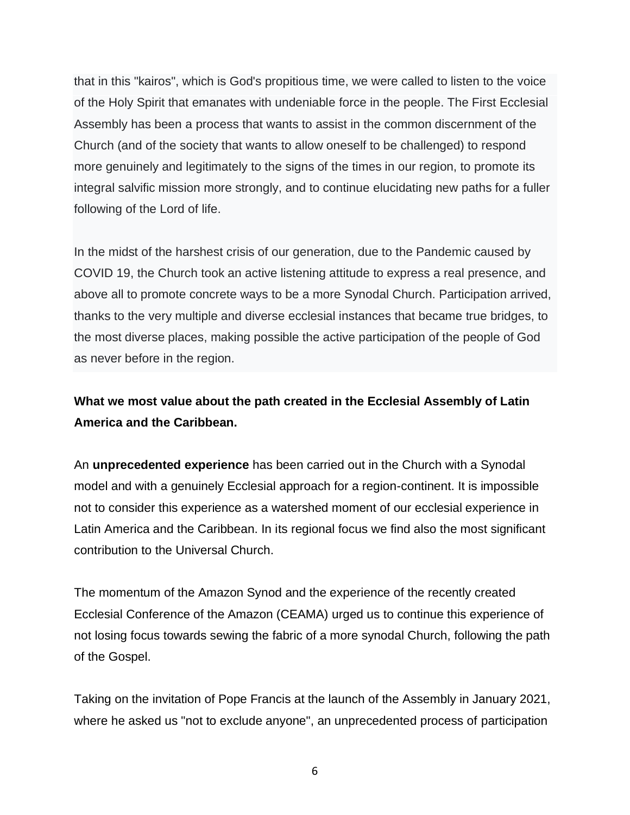that in this "kairos", which is God's propitious time, we were called to listen to the voice of the Holy Spirit that emanates with undeniable force in the people. The First Ecclesial Assembly has been a process that wants to assist in the common discernment of the Church (and of the society that wants to allow oneself to be challenged) to respond more genuinely and legitimately to the signs of the times in our region, to promote its integral salvific mission more strongly, and to continue elucidating new paths for a fuller following of the Lord of life.

In the midst of the harshest crisis of our generation, due to the Pandemic caused by COVID 19, the Church took an active listening attitude to express a real presence, and above all to promote concrete ways to be a more Synodal Church. Participation arrived, thanks to the very multiple and diverse ecclesial instances that became true bridges, to the most diverse places, making possible the active participation of the people of God as never before in the region.

### **What we most value about the path created in the Ecclesial Assembly of Latin America and the Caribbean.**

An **unprecedented experience** has been carried out in the Church with a Synodal model and with a genuinely Ecclesial approach for a region-continent. It is impossible not to consider this experience as a watershed moment of our ecclesial experience in Latin America and the Caribbean. In its regional focus we find also the most significant contribution to the Universal Church.

The momentum of the Amazon Synod and the experience of the recently created Ecclesial Conference of the Amazon (CEAMA) urged us to continue this experience of not losing focus towards sewing the fabric of a more synodal Church, following the path of the Gospel.

Taking on the invitation of Pope Francis at the launch of the Assembly in January 2021, where he asked us "not to exclude anyone", an unprecedented process of participation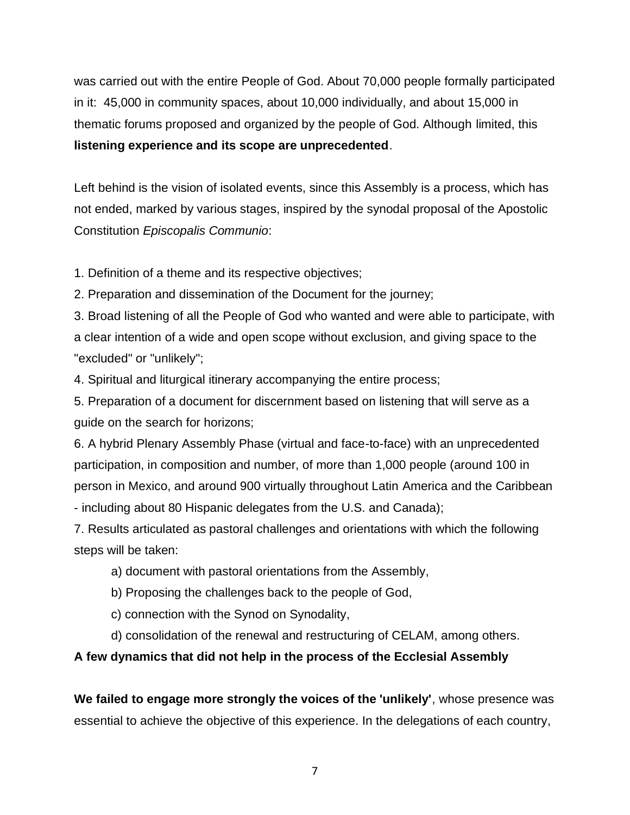was carried out with the entire People of God. About 70,000 people formally participated in it: 45,000 in community spaces, about 10,000 individually, and about 15,000 in thematic forums proposed and organized by the people of God. Although limited, this **listening experience and its scope are unprecedented**.

Left behind is the vision of isolated events, since this Assembly is a process, which has not ended, marked by various stages, inspired by the synodal proposal of the Apostolic Constitution *Episcopalis Communio*:

1. Definition of a theme and its respective objectives;

2. Preparation and dissemination of the Document for the journey;

3. Broad listening of all the People of God who wanted and were able to participate, with a clear intention of a wide and open scope without exclusion, and giving space to the "excluded" or "unlikely";

4. Spiritual and liturgical itinerary accompanying the entire process;

5. Preparation of a document for discernment based on listening that will serve as a guide on the search for horizons;

6. A hybrid Plenary Assembly Phase (virtual and face-to-face) with an unprecedented participation, in composition and number, of more than 1,000 people (around 100 in person in Mexico, and around 900 virtually throughout Latin America and the Caribbean - including about 80 Hispanic delegates from the U.S. and Canada);

7. Results articulated as pastoral challenges and orientations with which the following steps will be taken:

a) document with pastoral orientations from the Assembly,

b) Proposing the challenges back to the people of God,

c) connection with the Synod on Synodality,

d) consolidation of the renewal and restructuring of CELAM, among others.

### **A few dynamics that did not help in the process of the Ecclesial Assembly**

**We failed to engage more strongly the voices of the 'unlikely'**, whose presence was essential to achieve the objective of this experience. In the delegations of each country,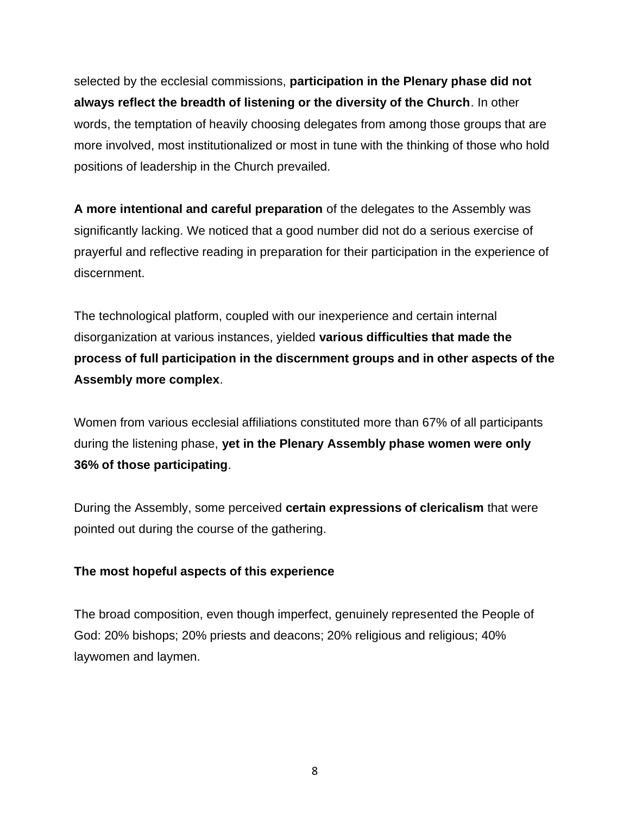selected by the ecclesial commissions, **participation in the Plenary phase did not always reflect the breadth of listening or the diversity of the Church**. In other words, the temptation of heavily choosing delegates from among those groups that are more involved, most institutionalized or most in tune with the thinking of those who hold positions of leadership in the Church prevailed.

**A more intentional and careful preparation** of the delegates to the Assembly was significantly lacking. We noticed that a good number did not do a serious exercise of prayerful and reflective reading in preparation for their participation in the experience of discernment.

The technological platform, coupled with our inexperience and certain internal disorganization at various instances, yielded **various difficulties that made the process of full participation in the discernment groups and in other aspects of the Assembly more complex**.

Women from various ecclesial affiliations constituted more than 67% of all participants during the listening phase, **yet in the Plenary Assembly phase women were only 36% of those participating**.

During the Assembly, some perceived **certain expressions of clericalism** that were pointed out during the course of the gathering.

### **The most hopeful aspects of this experience**

The broad composition, even though imperfect, genuinely represented the People of God: 20% bishops; 20% priests and deacons; 20% religious and religious; 40% laywomen and laymen.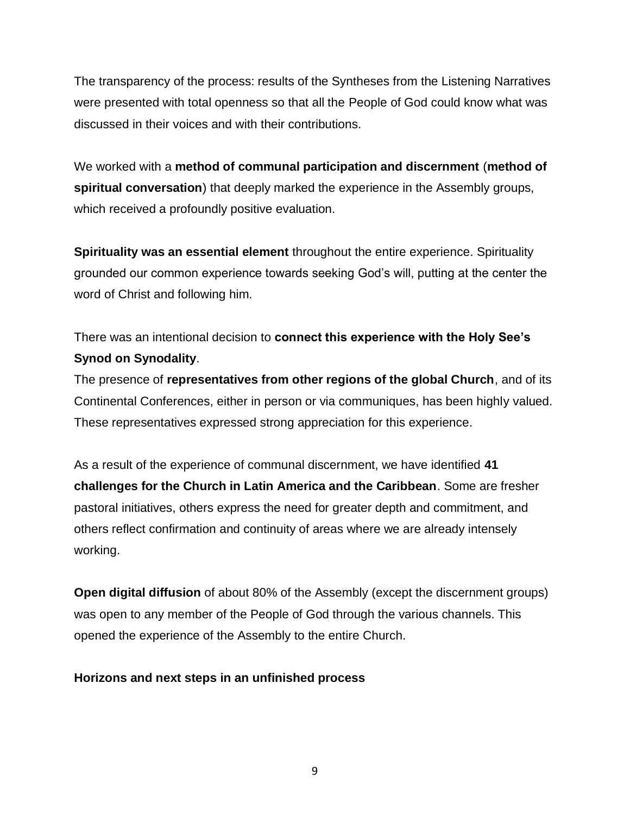The transparency of the process: results of the Syntheses from the Listening Narratives were presented with total openness so that all the People of God could know what was discussed in their voices and with their contributions.

We worked with a **method of communal participation and discernment** (**method of spiritual conversation**) that deeply marked the experience in the Assembly groups, which received a profoundly positive evaluation.

**Spirituality was an essential element** throughout the entire experience. Spirituality grounded our common experience towards seeking God's will, putting at the center the word of Christ and following him.

There was an intentional decision to **connect this experience with the Holy See's Synod on Synodality**.

The presence of **representatives from other regions of the global Church**, and of its Continental Conferences, either in person or via communiques, has been highly valued. These representatives expressed strong appreciation for this experience.

As a result of the experience of communal discernment, we have identified **41 challenges for the Church in Latin America and the Caribbean**. Some are fresher pastoral initiatives, others express the need for greater depth and commitment, and others reflect confirmation and continuity of areas where we are already intensely working.

**Open digital diffusion** of about 80% of the Assembly (except the discernment groups) was open to any member of the People of God through the various channels. This opened the experience of the Assembly to the entire Church.

### **Horizons and next steps in an unfinished process**